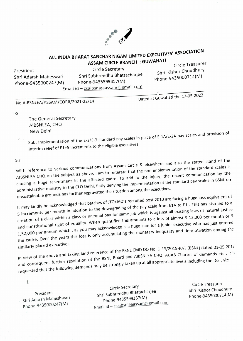

## **ALL INDIA BHARAT SANCHAR NIGAM LIMITED EXECUTIVES' ASSOCIATION ASSAM CIRCLE BRANCH : GUWAHATI**

President Shri Adarsh Maheswar<sup>i</sup> Phone-9435000247(M)

Circle Secretary Shri Subhrendhu Bhattacharjee Phone-9435599357(M) Email id - csaibsnleaassam@gmail.com

Circle Treasurer Shri Kishor Choudhury Phone-9435000714(M)

**No.AIBSNLEA/ ASSAM/CORR/2021-22/ <sup>14</sup>**Dated at Guwahati the 17-05-2022

To

The General Secretary AIBSNLEA, CHQ

New Delhi<br>Sub: Implementation of the E-2/E-3 standard pay scales in place of E-1A/E-2A pay scales and provision of interim relief of El+S Increments to the eligible executives.

Sir<br>With reference to various communications from Assam Circle & elsewhere and also the standard scales is<br>he the AIBSNLEA CHQ on the subject as above, I am to reiterate that the non implementation of the standard scales is causing a huge resentment in the affected cadre . To add to the injury, the recent communication by the administrative ministry to the CLO Delhi, flatly denying the implementation of the standard pay scales in BSNL on unsustainable grounds has further aggravated the situation among the executives.

It may kindly be acknowledged that batches of JTO/JAO's recruited post 2010 are facing a huge loss equivalent of 5 increments per month in addition to the downgrading of the pay scale from ElA to El . This has also led to <sup>a</sup> creation of a class within a class or unequal pay for same job which is against all existing laws of natural justice and constitutional right of equality. When quantified this amounts to a loss of almost ₹ 13,000 per month or ₹ l ,52,000 per annum which , as you may acknowledge is a huge sum for a junior executive who has just entered the cadre. Over the years this loss is only accumulating the monetary inequality and de-motivation among the similarly placed executives.

similarly placed executives.<br>In view of the above and taking kind reference of the BSNL CMD DO No. 1-13/2015-PAT (BSNL) dated 01-05-2017<br>In view of the above and taking kind reference of the Board and AIBSNLEA CHQ, AUAB Ch and consequent further resolution of the BSNL Board and AIBSNLEA CHQ, AUAB Charter of demands etc, it is and consequent the following demands may be strongly taken up at all appropriate levels including the DoT, viz:

1.

President Shri Adarsh Maheshwari Phone-943 <sup>50</sup>00247( M)

Circle Secretary Shri Subhrendhu Bhattacharjee Phone-9435599357(M) Email id - csaibsnleaassam@gmail.com

Circle Treasurer Shri Kishor Choudhury Phone-9435000714(M)